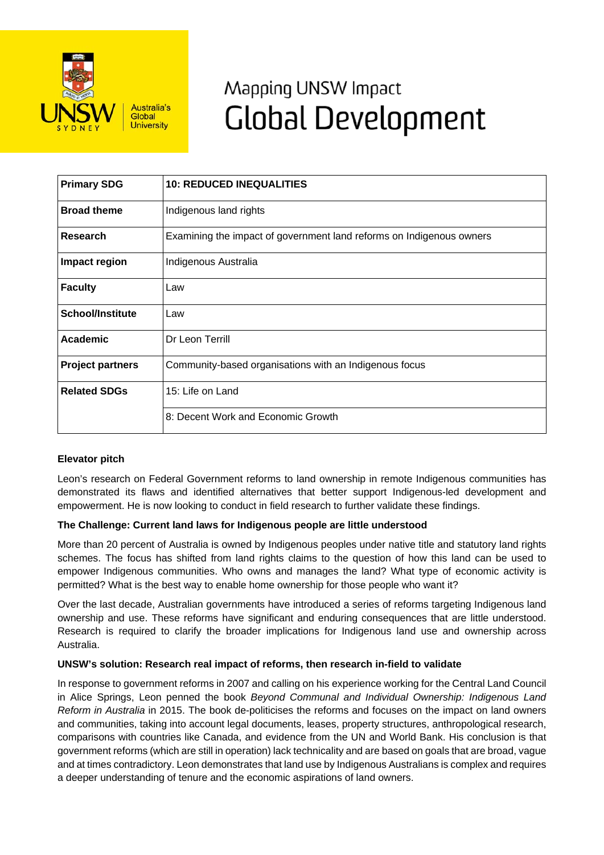

# Mapping UNSW Impact **Global Development**

| <b>Primary SDG</b>      | <b>10: REDUCED INEQUALITIES</b>                                      |
|-------------------------|----------------------------------------------------------------------|
| <b>Broad theme</b>      | Indigenous land rights                                               |
| Research                | Examining the impact of government land reforms on Indigenous owners |
| Impact region           | Indigenous Australia                                                 |
| <b>Faculty</b>          | Law                                                                  |
| <b>School/Institute</b> | Law                                                                  |
| <b>Academic</b>         | Dr Leon Terrill                                                      |
| <b>Project partners</b> | Community-based organisations with an Indigenous focus               |
| <b>Related SDGs</b>     | 15: Life on Land                                                     |
|                         | 8: Decent Work and Economic Growth                                   |

## **Elevator pitch**

Leon's research on Federal Government reforms to land ownership in remote Indigenous communities has demonstrated its flaws and identified alternatives that better support Indigenous-led development and empowerment. He is now looking to conduct in field research to further validate these findings.

## **The Challenge: Current land laws for Indigenous people are little understood**

More than 20 percent of Australia is owned by Indigenous peoples under native title and statutory land rights schemes. The focus has shifted from land rights claims to the question of how this land can be used to empower Indigenous communities. Who owns and manages the land? What type of economic activity is permitted? What is the best way to enable home ownership for those people who want it?

Over the last decade, Australian governments have introduced a series of reforms targeting Indigenous land ownership and use. These reforms have significant and enduring consequences that are little understood. Research is required to clarify the broader implications for Indigenous land use and ownership across Australia.

#### **UNSW's solution: Research real impact of reforms, then research in-field to validate**

In response to government reforms in 2007 and calling on his experience working for the Central Land Council in Alice Springs, Leon penned the book *Beyond Communal and Individual Ownership: Indigenous Land Reform in Australia* in 2015. The book de-politicises the reforms and focuses on the impact on land owners and communities, taking into account legal documents, leases, property structures, anthropological research, comparisons with countries like Canada, and evidence from the UN and World Bank. His conclusion is that government reforms (which are still in operation) lack technicality and are based on goals that are broad, vague and at times contradictory. Leon demonstrates that land use by Indigenous Australians is complex and requires a deeper understanding of tenure and the economic aspirations of land owners.